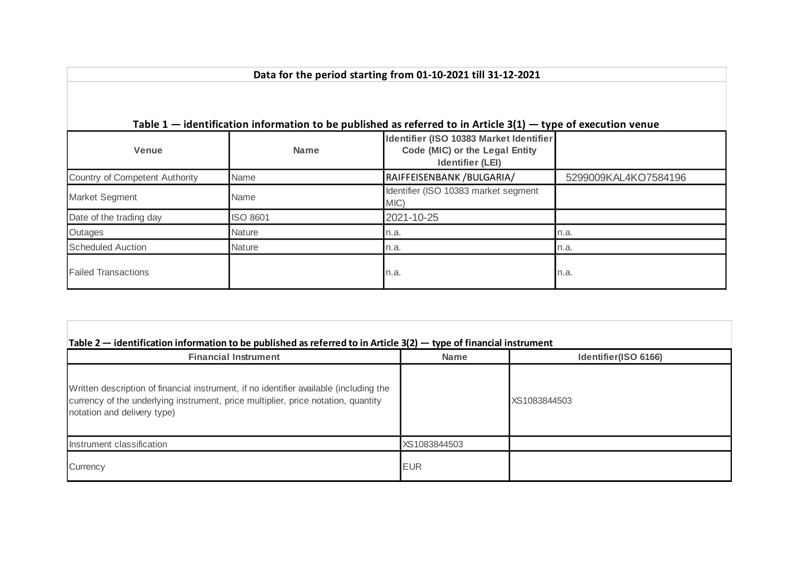|                                |                 | Table $1$ – identification information to be published as referred to in Article $3(1)$ – type of execution venue |                      |
|--------------------------------|-----------------|-------------------------------------------------------------------------------------------------------------------|----------------------|
| <b>Venue</b>                   | <b>Name</b>     | Identifier (ISO 10383 Market Identifier<br>Code (MIC) or the Legal Entity<br><b>Identifier (LEI)</b>              |                      |
| Country of Competent Authority | <b>Name</b>     | RAIFFEISENBANK / BULGARIA/                                                                                        | 5299009KAL4KO7584196 |
| Market Segment                 | Name            | Identifier (ISO 10383 market segment<br>MIC)                                                                      |                      |
| Date of the trading day        | <b>ISO 8601</b> | 2021-10-25                                                                                                        |                      |
| Outages                        | <b>Nature</b>   | n.a.                                                                                                              | n.a.                 |
| <b>Scheduled Auction</b>       | <b>Nature</b>   | n.a.                                                                                                              | n.a.                 |
| <b>Failed Transactions</b>     |                 | n.a.                                                                                                              | n.a.                 |

| Table $2$ — identification information to be published as referred to in Article $3(2)$ — type of financial instrument |  |  |  |
|------------------------------------------------------------------------------------------------------------------------|--|--|--|
|------------------------------------------------------------------------------------------------------------------------|--|--|--|

| <b>Financial Instrument</b>                                                                                                                                                                                | <b>Name</b>  | Identifier(ISO 6166) |
|------------------------------------------------------------------------------------------------------------------------------------------------------------------------------------------------------------|--------------|----------------------|
| Written description of financial instrument, if no identifier available (including the<br>currency of the underlying instrument, price multiplier, price notation, quantity<br>notation and delivery type) |              | XS1083844503         |
| Instrument classification                                                                                                                                                                                  | XS1083844503 |                      |
| Currency                                                                                                                                                                                                   | <b>EUR</b>   |                      |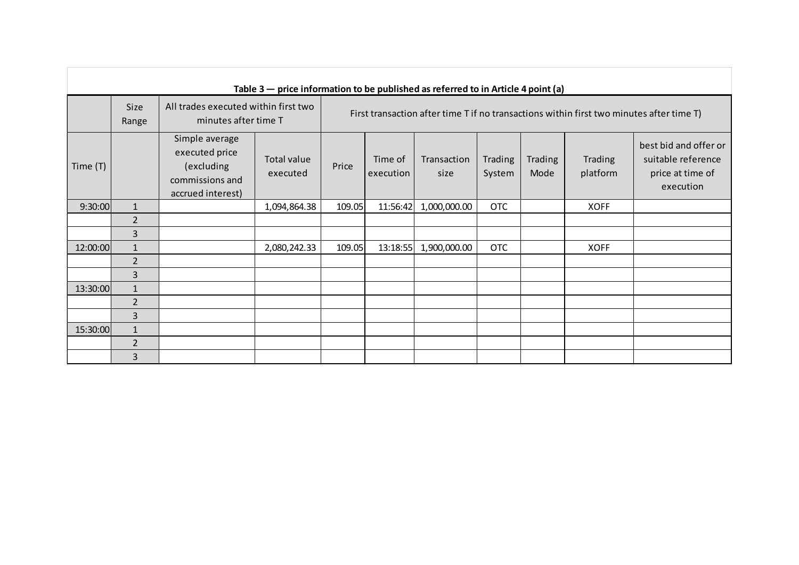|            |                      |                                                                                        | Table $3$ – price information to be published as referred to in Article 4 point (a) |        |                                                                                          |                     |                   |                        |                     |                                                                              |  |
|------------|----------------------|----------------------------------------------------------------------------------------|-------------------------------------------------------------------------------------|--------|------------------------------------------------------------------------------------------|---------------------|-------------------|------------------------|---------------------|------------------------------------------------------------------------------|--|
|            | <b>Size</b><br>Range | All trades executed within first two<br>minutes after time T                           |                                                                                     |        | First transaction after time T if no transactions within first two minutes after time T) |                     |                   |                        |                     |                                                                              |  |
| Time $(T)$ |                      | Simple average<br>executed price<br>(excluding<br>commissions and<br>accrued interest) | Total value<br>executed                                                             | Price  | Time of<br>execution                                                                     | Transaction<br>size | Trading<br>System | <b>Trading</b><br>Mode | Trading<br>platform | best bid and offer or<br>suitable reference<br>price at time of<br>execution |  |
| 9:30:00    | $\mathbf{1}$         |                                                                                        | 1,094,864.38                                                                        | 109.05 | 11:56:42                                                                                 | 1,000,000.00        | OTC               |                        | <b>XOFF</b>         |                                                                              |  |
|            | $\overline{2}$       |                                                                                        |                                                                                     |        |                                                                                          |                     |                   |                        |                     |                                                                              |  |
|            | 3                    |                                                                                        |                                                                                     |        |                                                                                          |                     |                   |                        |                     |                                                                              |  |
| 12:00:00   | $\mathbf{1}$         |                                                                                        | 2,080,242.33                                                                        | 109.05 | 13:18:55                                                                                 | 1,900,000.00        | <b>OTC</b>        |                        | <b>XOFF</b>         |                                                                              |  |
|            | $\overline{2}$       |                                                                                        |                                                                                     |        |                                                                                          |                     |                   |                        |                     |                                                                              |  |
|            | 3                    |                                                                                        |                                                                                     |        |                                                                                          |                     |                   |                        |                     |                                                                              |  |
| 13:30:00   | $\mathbf{1}$         |                                                                                        |                                                                                     |        |                                                                                          |                     |                   |                        |                     |                                                                              |  |
|            | $\overline{2}$       |                                                                                        |                                                                                     |        |                                                                                          |                     |                   |                        |                     |                                                                              |  |
|            | $\overline{3}$       |                                                                                        |                                                                                     |        |                                                                                          |                     |                   |                        |                     |                                                                              |  |
| 15:30:00   | $\mathbf{1}$         |                                                                                        |                                                                                     |        |                                                                                          |                     |                   |                        |                     |                                                                              |  |
|            | $\overline{2}$       |                                                                                        |                                                                                     |        |                                                                                          |                     |                   |                        |                     |                                                                              |  |
|            | $\overline{3}$       |                                                                                        |                                                                                     |        |                                                                                          |                     |                   |                        |                     |                                                                              |  |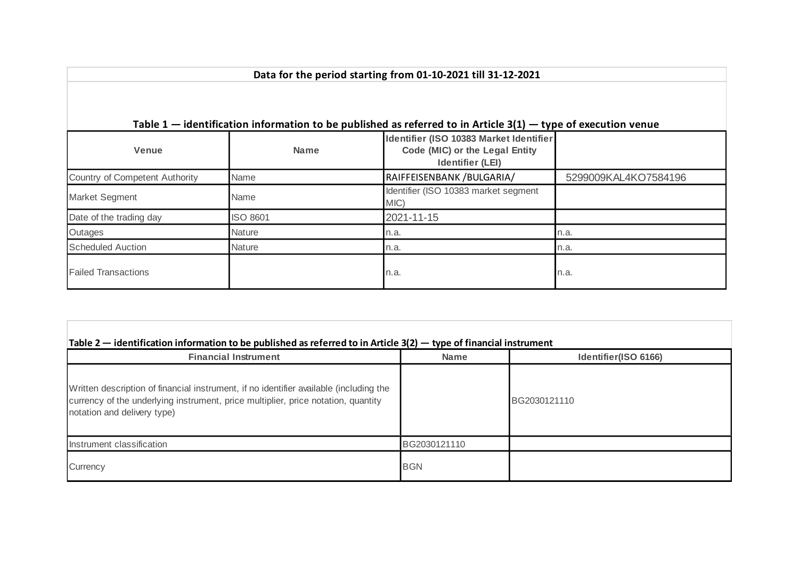|                                |                 | Table $1$ – identification information to be published as referred to in Article 3(1) – type of execution venue |                      |
|--------------------------------|-----------------|-----------------------------------------------------------------------------------------------------------------|----------------------|
| <b>Venue</b>                   | <b>Name</b>     | Identifier (ISO 10383 Market Identifier<br>Code (MIC) or the Legal Entity<br><b>Identifier (LEI)</b>            |                      |
| Country of Competent Authority | Name            | RAIFFEISENBANK / BULGARIA/                                                                                      | 5299009KAL4KO7584196 |
| Market Segment<br>Name         |                 | Identifier (ISO 10383 market segment<br>MIC)                                                                    |                      |
| Date of the trading day        | <b>ISO 8601</b> | 2021-11-15                                                                                                      |                      |
| Outages                        | <b>Nature</b>   | n.a.                                                                                                            | n.a.                 |
| <b>Scheduled Auction</b>       | Nature          | n.a.                                                                                                            | n.a.                 |
| <b>Failed Transactions</b>     |                 | n.a.                                                                                                            | n.a.                 |

| Table $2$ — identification information to be published as referred to in Article 3(2) — type of financial instrument |  |  |  |
|----------------------------------------------------------------------------------------------------------------------|--|--|--|
|----------------------------------------------------------------------------------------------------------------------|--|--|--|

| <b>Financial Instrument</b>                                                                                                                                                                                | <b>Name</b>  | Identifier(ISO 6166) |
|------------------------------------------------------------------------------------------------------------------------------------------------------------------------------------------------------------|--------------|----------------------|
| Written description of financial instrument, if no identifier available (including the<br>currency of the underlying instrument, price multiplier, price notation, quantity<br>notation and delivery type) |              | BG2030121110         |
| Instrument classification                                                                                                                                                                                  | BG2030121110 |                      |
| Currency                                                                                                                                                                                                   | <b>BGN</b>   |                      |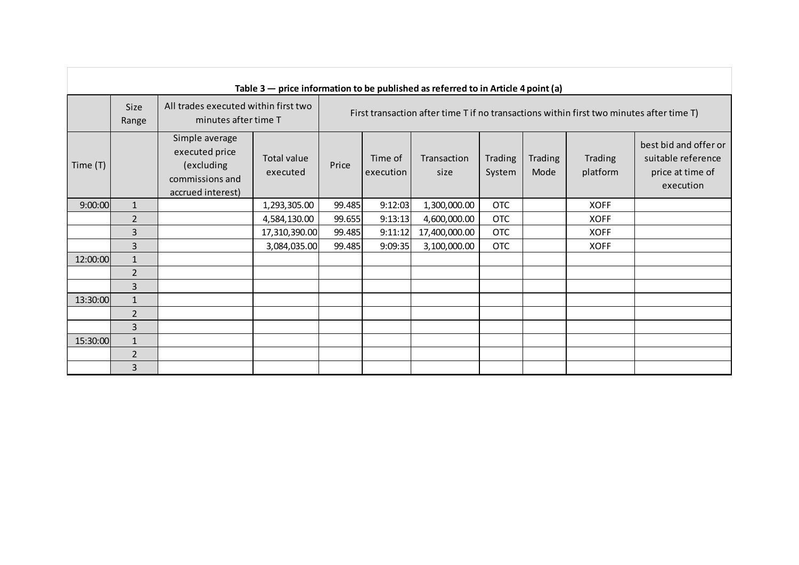| Table $3$ – price information to be published as referred to in Article 4 point (a) |                      |                                                                                        |                         |                                                                                          |                      |                     |                   |                 |                     |                                                                              |
|-------------------------------------------------------------------------------------|----------------------|----------------------------------------------------------------------------------------|-------------------------|------------------------------------------------------------------------------------------|----------------------|---------------------|-------------------|-----------------|---------------------|------------------------------------------------------------------------------|
|                                                                                     | <b>Size</b><br>Range | All trades executed within first two<br>minutes after time T                           |                         | First transaction after time T if no transactions within first two minutes after time T) |                      |                     |                   |                 |                     |                                                                              |
| Time (T)                                                                            |                      | Simple average<br>executed price<br>(excluding<br>commissions and<br>accrued interest) | Total value<br>executed | Price                                                                                    | Time of<br>execution | Transaction<br>size | Trading<br>System | Trading<br>Mode | Trading<br>platform | best bid and offer or<br>suitable reference<br>price at time of<br>execution |
| 9:00:00                                                                             | $\mathbf{1}$         |                                                                                        | 1,293,305.00            | 99.485                                                                                   | 9:12:03              | 1,300,000.00        | <b>OTC</b>        |                 | <b>XOFF</b>         |                                                                              |
|                                                                                     | $\overline{2}$       |                                                                                        | 4,584,130.00            | 99.655                                                                                   | 9:13:13              | 4,600,000.00        | <b>OTC</b>        |                 | <b>XOFF</b>         |                                                                              |
|                                                                                     | 3                    |                                                                                        | 17,310,390.00           | 99.485                                                                                   | 9:11:12              | 17,400,000.00       | <b>OTC</b>        |                 | <b>XOFF</b>         |                                                                              |
|                                                                                     | 3                    |                                                                                        | 3,084,035.00            | 99.485                                                                                   | 9:09:35              | 3,100,000.00        | <b>OTC</b>        |                 | <b>XOFF</b>         |                                                                              |
| 12:00:00                                                                            | $\mathbf{1}$         |                                                                                        |                         |                                                                                          |                      |                     |                   |                 |                     |                                                                              |
|                                                                                     | $\overline{2}$       |                                                                                        |                         |                                                                                          |                      |                     |                   |                 |                     |                                                                              |
|                                                                                     | 3                    |                                                                                        |                         |                                                                                          |                      |                     |                   |                 |                     |                                                                              |
| 13:30:00                                                                            | $\mathbf{1}$         |                                                                                        |                         |                                                                                          |                      |                     |                   |                 |                     |                                                                              |
|                                                                                     | $\overline{2}$       |                                                                                        |                         |                                                                                          |                      |                     |                   |                 |                     |                                                                              |
|                                                                                     | 3                    |                                                                                        |                         |                                                                                          |                      |                     |                   |                 |                     |                                                                              |
| 15:30:00                                                                            | $\mathbf{1}$         |                                                                                        |                         |                                                                                          |                      |                     |                   |                 |                     |                                                                              |
|                                                                                     | $\overline{2}$       |                                                                                        |                         |                                                                                          |                      |                     |                   |                 |                     |                                                                              |
|                                                                                     | 3                    |                                                                                        |                         |                                                                                          |                      |                     |                   |                 |                     |                                                                              |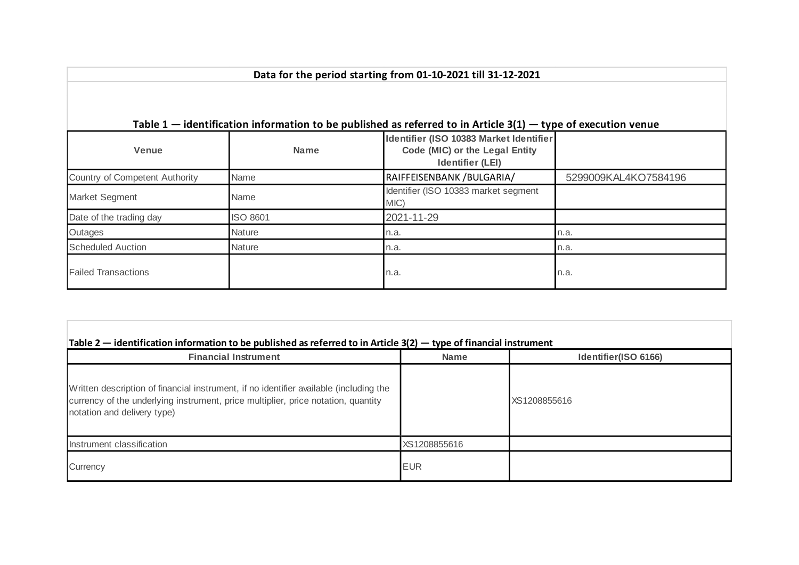|                                |                 | Table $1$ – identification information to be published as referred to in Article $3(1)$ – type of execution venue |                      |
|--------------------------------|-----------------|-------------------------------------------------------------------------------------------------------------------|----------------------|
| <b>Venue</b>                   | <b>Name</b>     | Identifier (ISO 10383 Market Identifier<br>Code (MIC) or the Legal Entity<br><b>Identifier (LEI)</b>              |                      |
| Country of Competent Authority | <b>Name</b>     | RAIFFEISENBANK / BULGARIA/                                                                                        | 5299009KAL4KO7584196 |
| Market Segment                 | Name            | Identifier (ISO 10383 market segment<br>MIC)                                                                      |                      |
| Date of the trading day        | <b>ISO 8601</b> | 2021-11-29                                                                                                        |                      |
| Outages                        | <b>Nature</b>   | n.a.                                                                                                              | n.a.                 |
| <b>Scheduled Auction</b>       | <b>Nature</b>   | n.a.                                                                                                              | n.a.                 |
| <b>Failed Transactions</b>     |                 | n.a.                                                                                                              | n.a.                 |

| <b>Financial Instrument</b>                                                                                                                                                                                | <b>Name</b>  | Identifier(ISO 6166) |
|------------------------------------------------------------------------------------------------------------------------------------------------------------------------------------------------------------|--------------|----------------------|
| Written description of financial instrument, if no identifier available (including the<br>currency of the underlying instrument, price multiplier, price notation, quantity<br>notation and delivery type) |              | XS1208855616         |
| Instrument classification                                                                                                                                                                                  | XS1208855616 |                      |
| Currency                                                                                                                                                                                                   | <b>EUR</b>   |                      |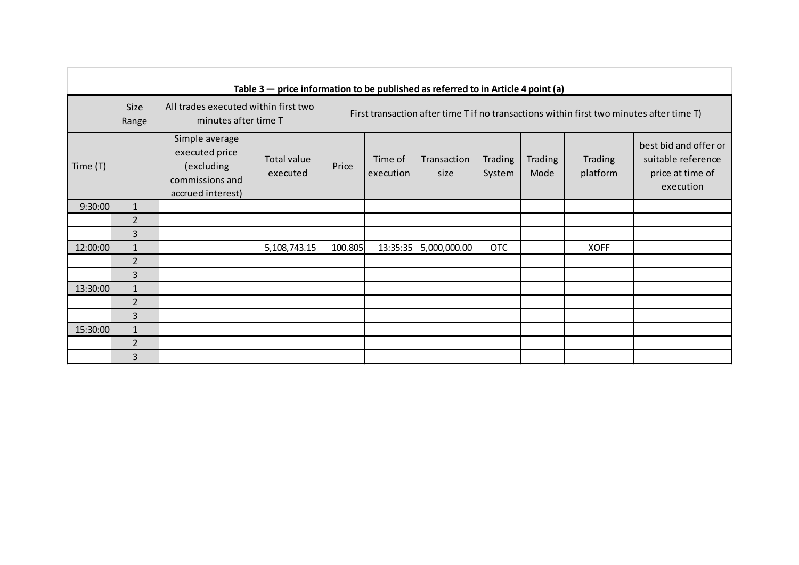|            |                      |                                                                                        | Table $3$ – price information to be published as referred to in Article 4 point (a) |         |                                                                                          |                     |                   |                        |                     |                                                                              |
|------------|----------------------|----------------------------------------------------------------------------------------|-------------------------------------------------------------------------------------|---------|------------------------------------------------------------------------------------------|---------------------|-------------------|------------------------|---------------------|------------------------------------------------------------------------------|
|            | <b>Size</b><br>Range | All trades executed within first two<br>minutes after time T                           |                                                                                     |         | First transaction after time T if no transactions within first two minutes after time T) |                     |                   |                        |                     |                                                                              |
| Time $(T)$ |                      | Simple average<br>executed price<br>(excluding<br>commissions and<br>accrued interest) | Total value<br>executed                                                             | Price   | Time of<br>execution                                                                     | Transaction<br>size | Trading<br>System | <b>Trading</b><br>Mode | Trading<br>platform | best bid and offer or<br>suitable reference<br>price at time of<br>execution |
| 9:30:00    | $\mathbf{1}$         |                                                                                        |                                                                                     |         |                                                                                          |                     |                   |                        |                     |                                                                              |
|            | $\overline{2}$       |                                                                                        |                                                                                     |         |                                                                                          |                     |                   |                        |                     |                                                                              |
|            | 3                    |                                                                                        |                                                                                     |         |                                                                                          |                     |                   |                        |                     |                                                                              |
| 12:00:00   | $\mathbf{1}$         |                                                                                        | 5,108,743.15                                                                        | 100.805 | 13:35:35                                                                                 | 5,000,000.00        | <b>OTC</b>        |                        | <b>XOFF</b>         |                                                                              |
|            | $\overline{2}$       |                                                                                        |                                                                                     |         |                                                                                          |                     |                   |                        |                     |                                                                              |
|            | 3                    |                                                                                        |                                                                                     |         |                                                                                          |                     |                   |                        |                     |                                                                              |
| 13:30:00   | $\mathbf{1}$         |                                                                                        |                                                                                     |         |                                                                                          |                     |                   |                        |                     |                                                                              |
|            | $\overline{2}$       |                                                                                        |                                                                                     |         |                                                                                          |                     |                   |                        |                     |                                                                              |
|            | $\overline{3}$       |                                                                                        |                                                                                     |         |                                                                                          |                     |                   |                        |                     |                                                                              |
| 15:30:00   | $\mathbf{1}$         |                                                                                        |                                                                                     |         |                                                                                          |                     |                   |                        |                     |                                                                              |
|            | $\overline{2}$       |                                                                                        |                                                                                     |         |                                                                                          |                     |                   |                        |                     |                                                                              |
|            | $\overline{3}$       |                                                                                        |                                                                                     |         |                                                                                          |                     |                   |                        |                     |                                                                              |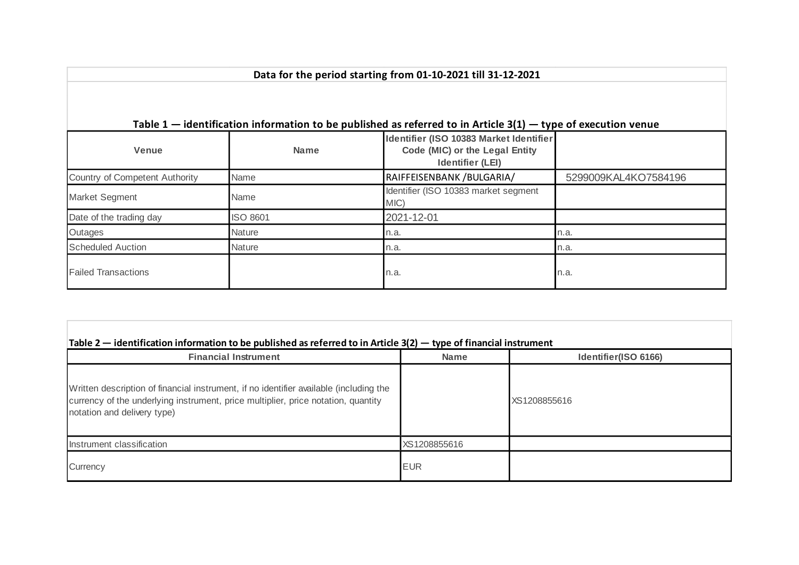| Table $1$ – identification information to be published as referred to in Article 3(1) – type of execution venue |                 |                                                                                                      |                      |  |  |  |  |  |  |
|-----------------------------------------------------------------------------------------------------------------|-----------------|------------------------------------------------------------------------------------------------------|----------------------|--|--|--|--|--|--|
| <b>Venue</b>                                                                                                    | <b>Name</b>     | Identifier (ISO 10383 Market Identifier<br>Code (MIC) or the Legal Entity<br><b>Identifier (LEI)</b> |                      |  |  |  |  |  |  |
| Country of Competent Authority                                                                                  | <b>Name</b>     | RAIFFEISENBANK / BULGARIA/                                                                           | 5299009KAL4KO7584196 |  |  |  |  |  |  |
| Market Segment                                                                                                  | Name            | Identifier (ISO 10383 market segment<br>MIC)                                                         |                      |  |  |  |  |  |  |
| Date of the trading day                                                                                         | <b>ISO 8601</b> | 2021-12-01                                                                                           |                      |  |  |  |  |  |  |
| Outages                                                                                                         | <b>Nature</b>   | n.a.                                                                                                 | n.a.                 |  |  |  |  |  |  |
| <b>Scheduled Auction</b>                                                                                        | <b>Nature</b>   | n.a.                                                                                                 | n.a.                 |  |  |  |  |  |  |
| <b>Failed Transactions</b>                                                                                      |                 | n.a.                                                                                                 | n.a.                 |  |  |  |  |  |  |

## **Table 2 — identification information to be published as referred to in Article 3(2) — type of financial instrument**

| <b>Financial Instrument</b>                                                                                                                                                                                | <b>Name</b>  | Identifier(ISO 6166) |
|------------------------------------------------------------------------------------------------------------------------------------------------------------------------------------------------------------|--------------|----------------------|
| Written description of financial instrument, if no identifier available (including the<br>currency of the underlying instrument, price multiplier, price notation, quantity<br>notation and delivery type) |              | XS1208855616         |
| Instrument classification                                                                                                                                                                                  | XS1208855616 |                      |
| Currency                                                                                                                                                                                                   | <b>EUR</b>   |                      |